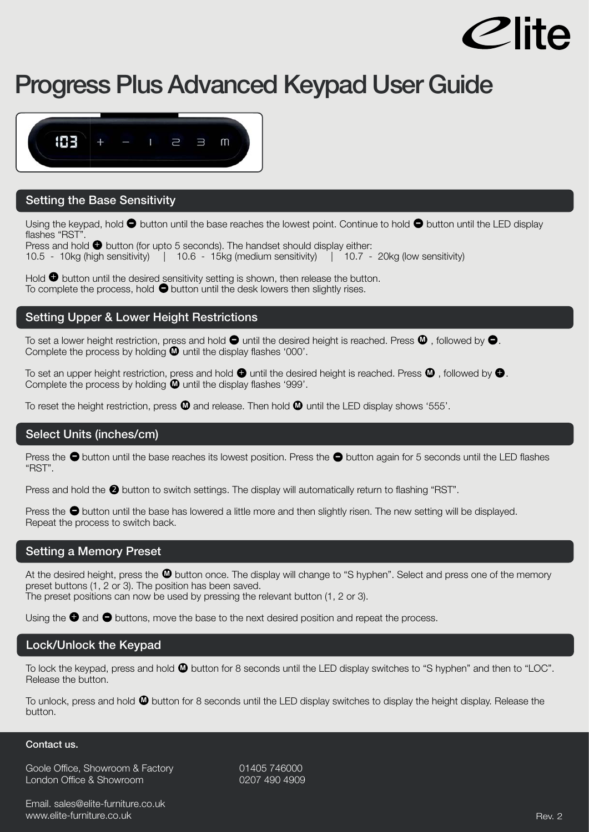

# **Progress Plus Advanced Keypad User Guide**



## **Setting the Base Sensitivity**

Using the keypad, hold  $\bullet$  button until the base reaches the lowest point. Continue to hold  $\bullet$  button until the LED display flashes "RST".

Press and hold  $\bullet$  button (for upto 5 seconds). The handset should display either: 10.5 - 10kg (high sensitivity) | 10.6 - 15kg (medium sensitivity) | 10.7 - 20kg (low sensitivity)

Hold  $\bullet$  button until the desired sensitivity setting is shown, then release the button. Hold  $\bullet$  button until the desired sensitivity setting is shown, then release the butt<br>To complete the process, hold  $\bullet$  button until the desk lowers then slightly rises.

## **Setting Upper & Lower Height Restrictions**

To set a lower height restriction, press and hold  $\bullet$  until the desired height is reached. Press  $\bullet$  , followed by  $\bullet$ . Complete the process by holding  $\Phi$  until the display flashes '000'.

To set an upper height restriction, press and hold  $\bullet$  until the desired height is reached. Press  $\bullet$  , followed by  $\bullet$ . Complete the process by holding  $\Phi$  until the display flashes '999'.

To reset the height restriction, press  $\blacksquare$  and release. Then hold  $\blacksquare$  until the LED display shows '555'.

## **Select Units (inches/cm)**

Press the  $\bullet$  button until the base reaches its lowest position. Press the  $\bullet$  button again for 5 seconds until the LED flashes "RST".

Press and hold the  $\bullet$  button to switch settings. The display will automatically return to flashing "RST".

Press the  $\bullet$  button until the base has lowered a little more and then slightly risen. The new setting will be displayed. Repeat the process to switch back.

## **Setting a Memory Preset**

At the desired height, press the  $\blacksquare$  button once. The display will change to "S hyphen". Select and press one of the memory preset buttons (1, 2 or 3). The position has been saved. The preset positions can now be used by pressing the relevant button (1, 2 or 3).

Using the  $\bullet$  and  $\bullet$  buttons, move the base to the next desired position and repeat the process.

## **Lock/Unlock the Keypad**

To lock the keypad, press and hold  $\blacksquare$  button for 8 seconds until the LED display switches to "S hyphen" and then to "LOC". Release the button.

To unlock, press and hold  $\blacksquare$  button for 8 seconds until the LED display switches to display the height display. Release the button.

### **Contact us.**

Goole Office, Showroom & Factory 01405 746000 London Office & Showroom 0207 490 4909

Email. sales@elite-furniture.co.uk www.elite-furniture.co.uk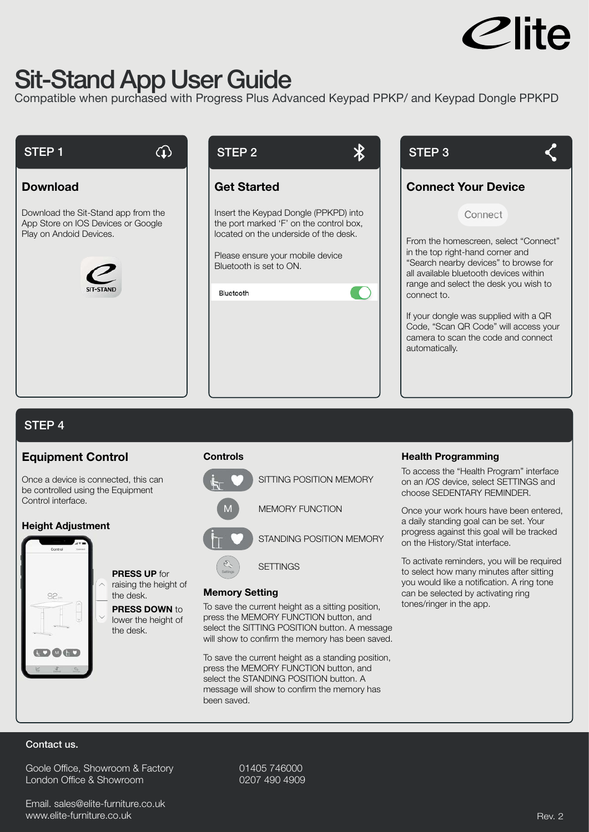

## **Sit-Stand App User Guide**

 $\bigcirc$ 

Compatible when purchased with Progress Plus Advanced Keypad PPKP/ and Keypad Dongle PPKPD

## **STEP 1**

## **Download**

Download the Sit-Stand app from the App Store on IOS Devices or Google Play on Andoid Devices.





## **Get Started**

Insert the Keypad Dongle (PPKPD) into the port marked 'F' on the control box, located on the underside of the desk.

Please ensure your mobile device Bluetooth is set to ON.

| Bluetooth |  |  |
|-----------|--|--|



## **STEP 4**

## **Equipment Control**

Once a device is connected, this can be controlled using the Equipment Control interface.

> **PRESS UP** for raising the height of

**PRESS DOWN** to lower the height of

the desk.

the desk.

## **Height Adjustment**



**Controls** 





## **Memory Setting**

Settings

To save the current height as a sitting position, press the MEMORY FUNCTION button, and select the SITTING POSITION button. A message will show to confirm the memory has been saved.

To save the current height as a standing position, press the MEMORY FUNCTION button, and select the STANDING POSITION button. A message will show to confirm the memory has been saved.

## **Health Programming**

To access the "Health Program" interface on an *IOS* device, select SETTINGS and choose SEDENTARY REMINDER.

Once your work hours have been entered, a daily standing goal can be set. Your progress against this goal will be tracked on the History/Stat interface.

To activate reminders, you will be required to select how many minutes after sitting you would like a notification. A ring tone can be selected by activating ring tones/ringer in the app.

## **Contact us.**

Goole Office, Showroom & Factory 01405 746000 London Office & Showroom 0207 490 4909

Email. sales@elite-furniture.co.uk www.elite-furniture.co.uk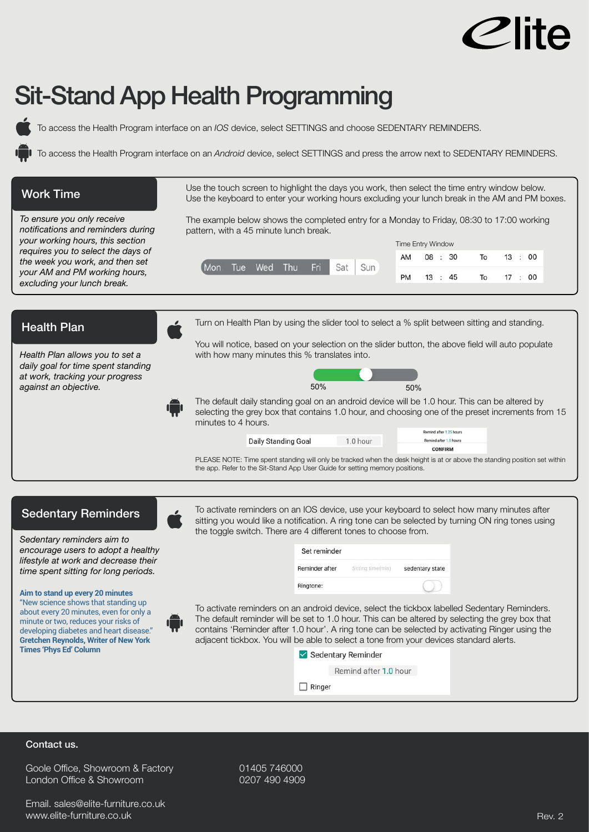

# **Sit-Stand App Health Programming**

To access the Health Program interface on an *IOS* device, select SETTINGS and choose SEDENTARY REMINDERS.

To access the Health Program interface on an *Android* device, select SETTINGS and press the arrow next to SEDENTARY REMINDERS.

| <b>Work Time</b>                                                                                                                                                                                                                                                                                                                                                                                                                                                         | Use the touch screen to highlight the days you work, then select the time entry window below.<br>Use the keyboard to enter your working hours excluding your lunch break in the AM and PM boxes.                                                                                                                                                                                                                                                                                                                                                                                                                                                                                                                                                                                                                                          |  |  |
|--------------------------------------------------------------------------------------------------------------------------------------------------------------------------------------------------------------------------------------------------------------------------------------------------------------------------------------------------------------------------------------------------------------------------------------------------------------------------|-------------------------------------------------------------------------------------------------------------------------------------------------------------------------------------------------------------------------------------------------------------------------------------------------------------------------------------------------------------------------------------------------------------------------------------------------------------------------------------------------------------------------------------------------------------------------------------------------------------------------------------------------------------------------------------------------------------------------------------------------------------------------------------------------------------------------------------------|--|--|
| To ensure you only receive<br>notifications and reminders during<br>your working hours, this section<br>requires you to select the days of<br>the week you work, and then set<br>your AM and PM working hours,<br>excluding your lunch break.                                                                                                                                                                                                                            | The example below shows the completed entry for a Monday to Friday, 08:30 to 17:00 working<br>pattern, with a 45 minute lunch break.<br><b>Time Entry Window</b><br>08 : 30<br>13<br>: 00<br>AM<br>To<br>Tue<br>Wed<br>Thu<br>Fri<br>Sat<br>Sun<br>Mon<br>PM<br>13 : 45<br>To<br>17 : 00                                                                                                                                                                                                                                                                                                                                                                                                                                                                                                                                                  |  |  |
| <b>Health Plan</b><br>Health Plan allows you to set a<br>daily goal for time spent standing<br>at work, tracking your progress<br>against an objective.                                                                                                                                                                                                                                                                                                                  | Turn on Health Plan by using the slider tool to select a % split between sitting and standing.<br>You will notice, based on your selection on the slider button, the above field will auto populate<br>with how many minutes this % translates into.<br>50%<br>50%<br>The default daily standing goal on an android device will be 1.0 hour. This can be altered by<br>selecting the grey box that contains 1.0 hour, and choosing one of the preset increments from 15<br>minutes to 4 hours.<br>lemind after 1.25 hours<br>Daily Standing Goal<br>1.0 hour<br>Remind after 1.5 hours<br><b>CONFIRM</b><br>PLEASE NOTE: Time spent standing will only be tracked when the desk height is at or above the standing position set within<br>the app. Refer to the Sit-Stand App User Guide for setting memory positions.                    |  |  |
| <b>Sedentary Reminders</b><br>Sedentary reminders aim to<br>encourage users to adopt a healthy<br>lifestyle at work and decrease their<br>time spent sitting for long periods.<br>Aim to stand up every 20 minutes<br>"New science shows that standing up<br>about every 20 minutes, even for only a<br>minute or two, reduces your risks of<br>developing diabetes and heart disease."<br><b>Gretchen Reynolds, Writer of New York</b><br><b>Times 'Phys Ed' Column</b> | To activate reminders on an IOS device, use your keyboard to select how many minutes after<br>$\mathcal{L}$<br>sitting you would like a notification. A ring tone can be selected by turning ON ring tones using<br>the toggle switch. There are 4 different tones to choose from.<br>Set reminder<br>Reminder after<br>Sitting time(min)<br>sedentary state<br>Ringtone:<br>To activate reminders on an android device, select the tickbox labelled Sedentary Reminders.<br>The default reminder will be set to 1.0 hour. This can be altered by selecting the grey box that<br>contains 'Reminder after 1.0 hour'. A ring tone can be selected by activating Ringer using the<br>adjacent tickbox. You will be able to select a tone from your devices standard alerts.<br>Sedentary Reminder<br>Remind after 1.0 hour<br>$\Box$ Ringer |  |  |

## **Contact us.**

Goole Office, Showroom & Factory 01405 746000 London Office & Showroom 0207 490 4909

Email. sales@elite-furniture.co.uk www.elite-furniture.co.uk